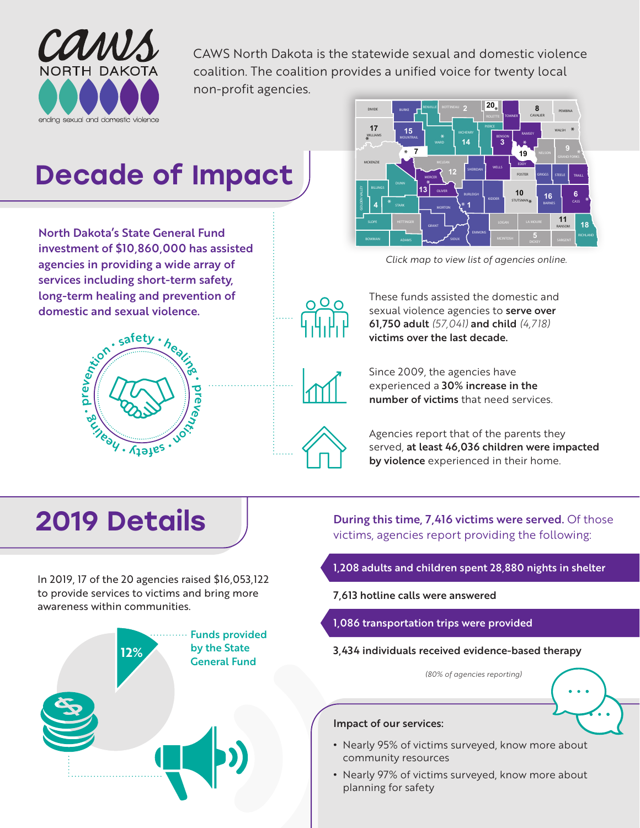

CAWS North Dakota is the statewide sexual and domestic violence coalition. The coalition provides a unified voice for twenty local non-profit agencies.

# Decade of Impact

North Dakota's State General Fund investment of \$10,860,000 has assisted agencies in providing a wide array of services including short-term safety, long-term healing and prevention of domestic and sexual violence.





*[Click map to view list of agencies online.](https://www.cawsnorthdakota.org/get-help/advocacycenterdirectory/)*



These funds assisted the domestic and sexual violence agencies to serve over 61,750 adult *(57,041)* and child *(4,718)* victims over the last decade.



Since 2009, the agencies have experienced a 30% increase in the number of victims that need services.



Agencies report that of the parents they served, at least 46,036 children were impacted by violence experienced in their home.

## 2019 Details

In 2019, 17 of the 20 agencies raised \$16,053,122 to provide services to victims and bring more awareness within communities.



During this time, 7,416 victims were served. Of those victims, agencies report providing the following:

- 1,208 adults and children spent 28,880 nights in shelter
- 7,613 hotline calls were answered
- 1,086 transportation trips were provided
- 3,434 individuals received evidence-based therapy

*(80% of agencies reporting)*

### Impact of our services:

- **•** Nearly 95% of victims surveyed, know more about community resources
- **•** Nearly 97% of victims surveyed, know more about planning for safety